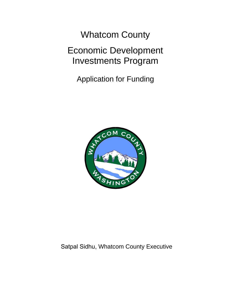# Whatcom County

# Economic Development Investments Program

Application for Funding



# Satpal Sidhu, Whatcom County Executive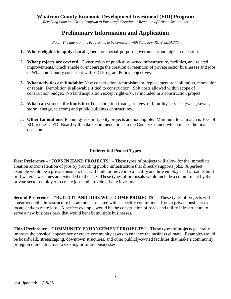*Revolving Loan and Grant Program to Encourage Creation or Retention of Private Sector Jobs*

# **Preliminary Information and Application**

*Note: The intent of this Program is to be consistent with State law, RCW 82.14.370*

- **1. Who is eligible to apply:** Local general or special-purpose governments and higher education.
- **2. What projects are covered:** Construction of publically-owned infrastructure, facilities, and related improvements, which enable or encourage the creation or retention of private sector businesses and jobs in Whatcom County consistent with EDI Program Policy Objectives.
- **3. What activities are fundable:** New construction, refurbishment, replacement, rehabilitation, renovation or repair. Demolition is allowable if tied to construction. Soft costs allowed within scope of construction budget. No land acquisition except right-of-way included in a construction project.
- **4. What can you use the funds for:** Transportation (roads, bridges, rail), utility services (water, sewer, storm, energy, telecom) and public buildings or structures.
- **5. Other Limitations:** Planning/feasibility only projects are not eligible. Minimum local match is 10% of EDI request. EDI Board will make recommendations to the County Council which makes the final decision.

#### **Preferential Project Types**

**First Preference – "JOBS IN HAND PROJECTS"** – These types of projects will allow for the immediate creation and/or retention of jobs by providing public infrastructure that directly supports jobs. A perfect example would be a private business that will build or move into a facility and hire employees if a road is built or if water/sewer lines are extended to the site. These types of proposals would include a commitment by the private sector employer to create jobs and provide private investment.

**Second Preference – "BUILD IT AND JOBS WILL COME PROJECTS"** – These types of projects will construct public infrastructure but are not associated with a specific commitment from a private business to locate and/or create jobs. A perfect example would be the construction of roads and utility infrastructure to serve a new business park that would benefit multiple businesses.

**Third Preference – COMMUNITY ENHANCEMENT PROJECTS"** – These types of projects generally improve the physical appearance or create community assets to enhance the business climate. Examples would be boardwalk, streetscaping, downtown structures, and other publicly-owned facilities that make a community or region more attractive to existing or future businesses.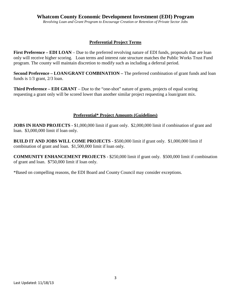*Revolving Loan and Grant Program to Encourage Creation or Retention of Private Sector Jobs*

#### **Preferential Project Terms**

**First Preference – EDI LOAN** – Due to the preferred revolving nature of EDI funds, proposals that are loan only will receive higher scoring. Loan terms and interest rate structure matches the Public Works Trust Fund program. The county will maintain discretion to modify such as including a deferral period.

**Second Preference – LOAN/GRANT COMBINATION –** The preferred combination of grant funds and loan funds is 1/3 grant, 2/3 loan.

**Third Preference – EDI GRANT** – Due to the "one-shot" nature of grants, projects of equal scoring requesting a grant only will be scored lower than another similar project requesting a loan/grant mix.

#### **Preferential\* Project Amounts (Guidelines)**

**JOBS IN HAND PROJECTS -** \$1,000,000 limit if grant only. \$2,000,000 limit if combination of grant and loan. \$3,000,000 limit if loan only.

**BUILD IT AND JOBS WILL COME PROJECTS** - \$500,000 limit if grant only. \$1,000,000 limit if combination of grant and loan. \$1,500,000 limit if loan only.

**COMMUNITY ENHANCEMENT PROJECTS** - \$250,000 limit if grant only. \$500,000 limit if combination of grant and loan. \$750,000 limit if loan only.

\*Based on compelling reasons, the EDI Board and County Council may consider exceptions.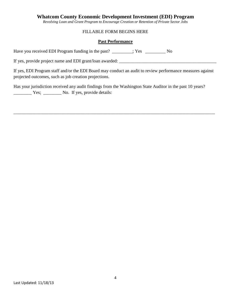*Revolving Loan and Grant Program to Encourage Creation or Retention of Private Sector Jobs*

#### FILLABLE FORM BEGINS HERE

#### **Past Performance**

Have you received EDI Program funding in the past? \_\_\_\_\_\_\_; Yes \_\_\_\_\_\_\_\_\_\_ No

If yes, provide project name and EDI grant/loan awarded: \_\_\_\_\_\_\_\_\_\_\_\_\_\_\_\_\_\_\_\_\_\_\_\_\_\_\_\_\_\_\_\_\_\_\_\_\_\_\_\_\_\_\_

If yes, EDI Program staff and/or the EDI Board may conduct an audit to review performance measures against projected outcomes, such as job creation projections.

\_\_\_\_\_\_\_\_\_\_\_\_\_\_\_\_\_\_\_\_\_\_\_\_\_\_\_\_\_\_\_\_\_\_\_\_\_\_\_\_\_\_\_\_\_\_\_\_\_\_\_\_\_\_\_\_\_\_\_\_\_\_\_\_\_\_\_\_\_\_\_\_\_\_\_\_\_\_\_\_\_\_\_\_\_\_\_\_\_

Has your jurisdiction received any audit findings from the Washington State Auditor in the past 10 years? \_\_\_\_\_\_\_\_ Yes; \_\_\_\_\_\_\_\_ No. If yes, provide details: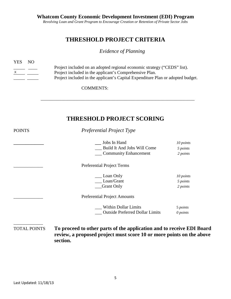### **THRESHOLD PROJECT CRITERIA**

#### *Evidence of Planning*

| YES | NO. |  |  |
|-----|-----|--|--|
| x   |     |  |  |

Project included on an adopted regional economic strategy ("CEDS" list). Project included in the applicant's Comprehensive Plan. Project included in the applicant's Capital Expenditure Plan or adopted budget.

COMMENTS:

# **THRESHOLD PROJECT SCORING**

\_\_\_\_\_\_\_\_\_\_\_\_\_\_\_\_\_\_\_\_\_\_\_\_\_\_\_\_\_\_\_\_\_\_\_\_\_\_\_\_\_\_\_\_\_\_\_\_\_\_\_\_\_\_\_\_\_\_\_\_\_\_\_\_\_\_\_\_

| <b>POINTS</b> | <b>Preferential Project Type</b>       |            |  |  |
|---------------|----------------------------------------|------------|--|--|
|               | Jobs In Hand                           | 10 points  |  |  |
|               | Build It And Jobs Will Come            | 5 points   |  |  |
|               | <b>Community Enhancement</b>           | 2 points   |  |  |
|               | <b>Preferential Project Terms</b>      |            |  |  |
|               | Loan Only                              | 10 points  |  |  |
|               | Loan/Grant                             | 5 points   |  |  |
|               | <b>Grant Only</b>                      | 2 points   |  |  |
|               | <b>Preferential Project Amounts</b>    |            |  |  |
|               | <b>Within Dollar Limits</b>            | 5 points   |  |  |
|               | <b>Outside Preferred Dollar Limits</b> | $0$ points |  |  |
|               |                                        |            |  |  |

TOTAL POINTS **To proceed to other parts of the application and to receive EDI Board review, a proposed project must score 10 or more points on the above section.**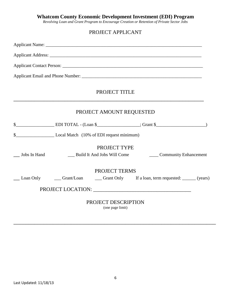*Revolving Loan and Grant Program to Encourage Creation or Retention of Private Sector Jobs*

#### PROJECT APPLICANT

|               | PROJECT TITLE                            |                                                          |  |
|---------------|------------------------------------------|----------------------------------------------------------|--|
|               | PROJECT AMOUNT REQUESTED                 |                                                          |  |
|               |                                          |                                                          |  |
| $\mathsf{\$}$ | Local Match (10% of EDI request minimum) |                                                          |  |
|               | PROJECT TYPE                             |                                                          |  |
| Jobs In Hand  |                                          | <u>Suild It And Jobs Will Come</u> Community Enhancement |  |
|               | PROJECT TERMS                            |                                                          |  |
|               |                                          |                                                          |  |
|               |                                          |                                                          |  |
|               | PROJECT DESCRIPTION<br>(one page limit)  |                                                          |  |

\_\_\_\_\_\_\_\_\_\_\_\_\_\_\_\_\_\_\_\_\_\_\_\_\_\_\_\_\_\_\_\_\_\_\_\_\_\_\_\_\_\_\_\_\_\_\_\_\_\_\_\_\_\_\_\_\_\_\_\_\_\_\_\_\_\_\_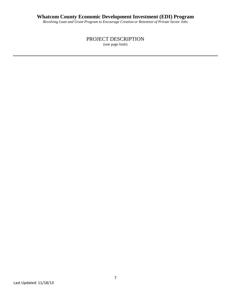PROJECT DESCRIPTION (one page limit)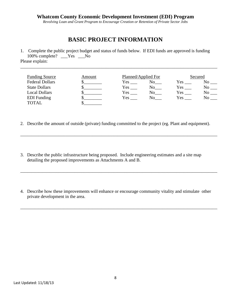*Revolving Loan and Grant Program to Encourage Creation or Retention of Private Sector Jobs*

## **BASIC PROJECT INFORMATION**

1. Complete the public project budget and status of funds below. If EDI funds are approved is funding 100% complete? \_\_\_Yes \_\_\_No Please explain:

Funding Source Amount Planned/Applied For Secured<br>Federal Dollars \$<br>Nes No Yes No Yes No Yes No Secured N Federal Dollars \$\_\_\_\_\_\_\_\_ Yes \_\_\_ No\_\_\_ Yes \_\_\_ No \_\_\_ State Dollars  $\begin{array}{ccc} \text{S} & \text{S} & \text{Yes} & \text{No} & \text{Yes} & \text{Yes} & \text{No} & \text{No} \end{array}$ Local Dollars  $\begin{array}{ccc} \text{\$} & \text{\$} & \text{\$} \text{\$} & \text{\$} \text{\$} \text{Yes} \text{...} \end{array}$  No \_\_\_ Yes \_\_\_ No \_\_\_ EDI Funding  $\sim$  \$\_\_\_\_\_\_\_\_ Yes \_\_\_ No\_\_\_ Yes \_\_\_ Yes \_\_\_ No \_\_\_ TOTAL S

\_\_\_\_\_\_\_\_\_\_\_\_\_\_\_\_\_\_\_\_\_\_\_\_\_\_\_\_\_\_\_\_\_\_\_\_\_\_\_\_\_\_\_\_\_\_\_\_\_\_\_\_\_\_\_\_\_\_\_\_\_\_\_\_\_\_\_\_\_\_\_\_\_\_\_\_\_\_\_\_\_\_\_\_\_\_\_

2. Describe the amount of outside (private) funding committed to the project (eg. Plant and equipment).

\_\_\_\_\_\_\_\_\_\_\_\_\_\_\_\_\_\_\_\_\_\_\_\_\_\_\_\_\_\_\_\_\_\_\_\_\_\_\_\_\_\_\_\_\_\_\_\_\_\_\_\_\_\_\_\_\_\_\_\_\_\_\_\_\_\_\_\_\_\_\_\_\_\_\_\_\_\_\_\_\_\_\_\_\_\_\_

\_\_\_\_\_\_\_\_\_\_\_\_\_\_\_\_\_\_\_\_\_\_\_\_\_\_\_\_\_\_\_\_\_\_\_\_\_\_\_\_\_\_\_\_\_\_\_\_\_\_\_\_\_\_\_\_\_\_\_\_\_\_\_\_\_\_\_\_\_\_\_\_\_\_\_\_\_\_\_\_\_\_\_\_\_\_\_

- 3. Describe the public infrastructure being proposed. Include engineering estimates and a site map detailing the proposed improvements as Attachments A and B.
- 4. Describe how these improvements will enhance or encourage community vitality and stimulate other private development in the area.

\_\_\_\_\_\_\_\_\_\_\_\_\_\_\_\_\_\_\_\_\_\_\_\_\_\_\_\_\_\_\_\_\_\_\_\_\_\_\_\_\_\_\_\_\_\_\_\_\_\_\_\_\_\_\_\_\_\_\_\_\_\_\_\_\_\_\_\_\_\_\_\_\_\_\_\_\_\_\_\_\_\_\_\_\_\_\_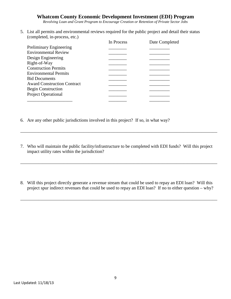*Revolving Loan and Grant Program to Encourage Creation or Retention of Private Sector Jobs*

5. List all permits and environmental reviews required for the public project and detail their status (completed, in-process, etc.)

|                                    | In Process | Date Completed |
|------------------------------------|------------|----------------|
| Preliminary Engineering            |            |                |
| <b>Environmental Review</b>        |            |                |
| Design Engineering                 |            |                |
| Right-of-Way                       |            |                |
| <b>Construction Permits</b>        |            |                |
| <b>Environmental Permits</b>       |            |                |
| <b>Bid Documents</b>               |            |                |
| <b>Award Construction Contract</b> |            |                |
| <b>Begin Construction</b>          |            |                |
| <b>Project Operational</b>         |            |                |
|                                    |            |                |

- 6. Are any other public jurisdictions involved in this project? If so, in what way?
- 7. Who will maintain the public facility/infrastructure to be completed with EDI funds? Will this project impact utility rates within the jurisdiction?

\_\_\_\_\_\_\_\_\_\_\_\_\_\_\_\_\_\_\_\_\_\_\_\_\_\_\_\_\_\_\_\_\_\_\_\_\_\_\_\_\_\_\_\_\_\_\_\_\_\_\_\_\_\_\_\_\_\_\_\_\_\_\_\_\_\_\_\_\_\_\_\_\_\_\_\_\_\_\_\_\_\_\_\_\_\_\_

\_\_\_\_\_\_\_\_\_\_\_\_\_\_\_\_\_\_\_\_\_\_\_\_\_\_\_\_\_\_\_\_\_\_\_\_\_\_\_\_\_\_\_\_\_\_\_\_\_\_\_\_\_\_\_\_\_\_\_\_\_\_\_\_\_\_\_\_\_\_\_\_\_\_\_\_\_\_\_\_\_\_\_\_\_\_\_

8. Will this project directly generate a revenue stream that could be used to repay an EDI loan? Will this project spur indirect revenues that could be used to repay an EDI loan? If no to either question – why?

\_\_\_\_\_\_\_\_\_\_\_\_\_\_\_\_\_\_\_\_\_\_\_\_\_\_\_\_\_\_\_\_\_\_\_\_\_\_\_\_\_\_\_\_\_\_\_\_\_\_\_\_\_\_\_\_\_\_\_\_\_\_\_\_\_\_\_\_\_\_\_\_\_\_\_\_\_\_\_\_\_\_\_\_\_\_\_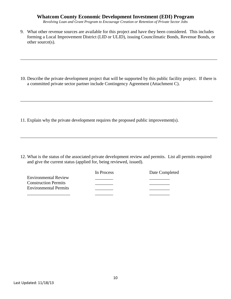*Revolving Loan and Grant Program to Encourage Creation or Retention of Private Sector Jobs*

9. What other revenue sources are available for this project and have they been considered. This includes forming a Local Improvement District (LID or ULID), issuing Councilmatic Bonds, Revenue Bonds, or other source(s).

10. Describe the private development project that will be supported by this public facility project. If there is a committed private sector partner include Contingency Agreement (Attachment C).

\_\_\_\_\_\_\_\_\_\_\_\_\_\_\_\_\_\_\_\_\_\_\_\_\_\_\_\_\_\_\_\_\_\_\_\_\_\_\_\_\_\_\_\_\_\_\_\_\_\_\_\_\_\_\_\_\_\_\_\_\_\_\_\_\_\_\_\_\_\_\_\_\_\_\_\_\_\_\_\_\_\_\_\_\_

\_\_\_\_\_\_\_\_\_\_\_\_\_\_\_\_\_\_\_\_\_\_\_\_\_\_\_\_\_\_\_\_\_\_\_\_\_\_\_\_\_\_\_\_\_\_\_\_\_\_\_\_\_\_\_\_\_\_\_\_\_\_\_\_\_\_\_\_\_\_\_\_\_\_\_\_\_\_\_\_\_\_\_\_\_\_\_

11. Explain why the private development requires the proposed public improvement(s).

12. What is the status of the associated private development review and permits. List all permits required and give the current status (applied for, being reviewed, issued).

\_\_\_\_\_\_\_\_\_\_\_\_\_\_\_\_\_\_\_\_\_\_\_\_\_\_\_\_\_\_\_\_\_\_\_\_\_\_\_\_\_\_\_\_\_\_\_\_\_\_\_\_\_\_\_\_\_\_\_\_\_\_\_\_\_\_\_\_\_\_\_\_\_\_\_\_\_\_\_\_\_\_\_\_\_\_\_

|                              | In Process | Date Completed |
|------------------------------|------------|----------------|
| <b>Environmental Review</b>  |            |                |
| <b>Construction Permits</b>  |            |                |
| <b>Environmental Permits</b> |            |                |
|                              |            |                |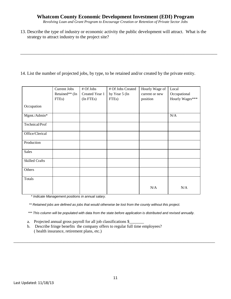*Revolving Loan and Grant Program to Encourage Creation or Retention of Private Sector Jobs*

13. Describe the type of industry or economic activity the public development will attract. What is the strategy to attract industry to the project site?

\_\_\_\_\_\_\_\_\_\_\_\_\_\_\_\_\_\_\_\_\_\_\_\_\_\_\_\_\_\_\_\_\_\_\_\_\_\_\_\_\_\_\_\_\_\_\_\_\_\_\_\_\_\_\_\_\_\_\_\_\_\_\_\_\_\_\_\_\_\_\_\_\_\_\_\_\_\_\_\_\_\_\_\_\_\_\_

14. List the number of projected jobs, by type, to be retained and/or created by the private entity.

|                       | Current Jobs       | # Of Jobs      | # Of Jobs Created  | Hourly Wage of | Local           |
|-----------------------|--------------------|----------------|--------------------|----------------|-----------------|
|                       | Retained** (In     | Created Year 1 | by Year 5 (In      | current or new | Occupational    |
|                       | FTE <sub>s</sub> ) | (In FTEs)      | FTE <sub>s</sub> ) | position       | Hourly Wages*** |
| Occupation            |                    |                |                    |                |                 |
| Mgmt./Admin*          |                    |                |                    |                | N/A             |
| Technical/Prof        |                    |                |                    |                |                 |
| Office/Clerical       |                    |                |                    |                |                 |
| Production            |                    |                |                    |                |                 |
| <b>Sales</b>          |                    |                |                    |                |                 |
| <b>Skilled Crafts</b> |                    |                |                    |                |                 |
| Others                |                    |                |                    |                |                 |
| Totals                |                    |                |                    |                |                 |
|                       |                    |                |                    | N/A            | N/A             |

 *\* Indicate Management positions in annual salary.*

 *\*\* Retained jobs are defined as jobs that would otherwise be lost from the county without this project.*

*\*\*\* This column will be populated with data from the state before application is distributed and revised annually.*

\_\_\_\_\_\_\_\_\_\_\_\_\_\_\_\_\_\_\_\_\_\_\_\_\_\_\_\_\_\_\_\_\_\_\_\_\_\_\_\_\_\_\_\_\_\_\_\_\_\_\_\_\_\_\_\_\_\_\_\_\_\_\_\_\_\_\_\_\_\_\_\_\_\_\_\_\_\_\_\_\_\_\_\_\_\_\_\_\_

a. Projected annual gross payroll for all job classifications \$\_

b. Describe fringe benefits the company offers to regular full time employees? ( health insurance, retirement plans, etc.)